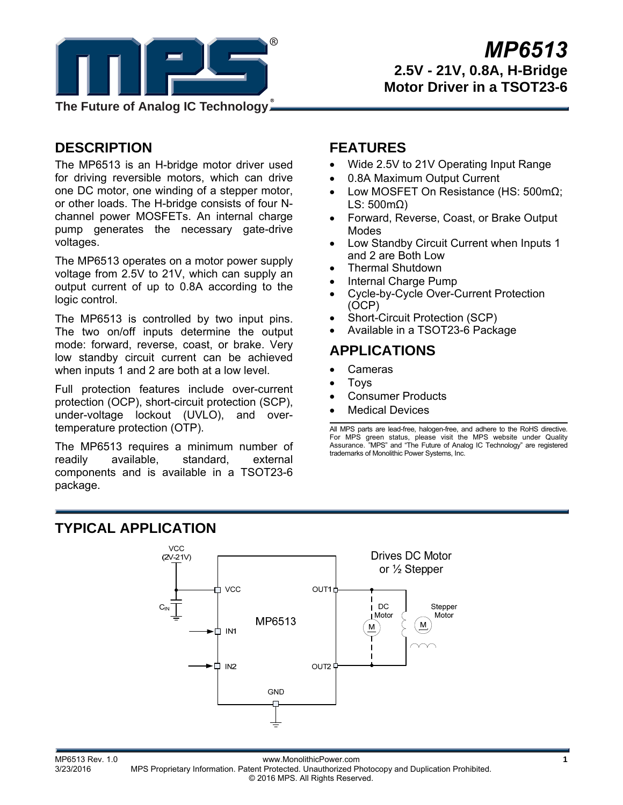

# **DESCRIPTION**

The MP6513 is an H-bridge motor driver used for driving reversible motors, which can drive one DC motor, one winding of a stepper motor, or other loads. The H-bridge consists of four Nchannel power MOSFETs. An internal charge pump generates the necessary gate-drive voltages.

The MP6513 operates on a motor power supply voltage from 2.5V to 21V, which can supply an output current of up to 0.8A according to the logic control.

The MP6513 is controlled by two input pins. The two on/off inputs determine the output mode: forward, reverse, coast, or brake. Very low standby circuit current can be achieved when inputs 1 and 2 are both at a low level.

Full protection features include over-current protection (OCP), short-circuit protection (SCP), under-voltage lockout (UVLO), and overtemperature protection (OTP).

The MP6513 requires a minimum number of readily available, standard, external components and is available in a TSOT23-6 package.

## **FEATURES**

- Wide 2.5V to 21V Operating Input Range
- 0.8A Maximum Output Current
- Low MOSFET On Resistance (HS: 500mΩ; LS: 500mΩ)
- Forward, Reverse, Coast, or Brake Output Modes
- Low Standby Circuit Current when Inputs 1 and 2 are Both Low
- Thermal Shutdown
- Internal Charge Pump
- Cycle-by-Cycle Over-Current Protection (OCP)
- Short-Circuit Protection (SCP)
- Available in a TSOT23-6 Package

## **APPLICATIONS**

- Cameras
- Toys
- Consumer Products
- Medical Devices

All MPS parts are lead-free, halogen-free, and adhere to the RoHS directive. For MPS green status, please visit the MPS website under Quality Assurance. "MPS" and "The Future of Analog IC Technology" are registered trademarks of Monolithic Power Systems, Inc.

## **TYPICAL APPLICATION**



MP6513 Rev. 1.0 www.MonolithicPower.com **1** MPS Proprietary Information. Patent Protected. Unauthorized Photocopy and Duplication Prohibited. © 2016 MPS. All Rights Reserved.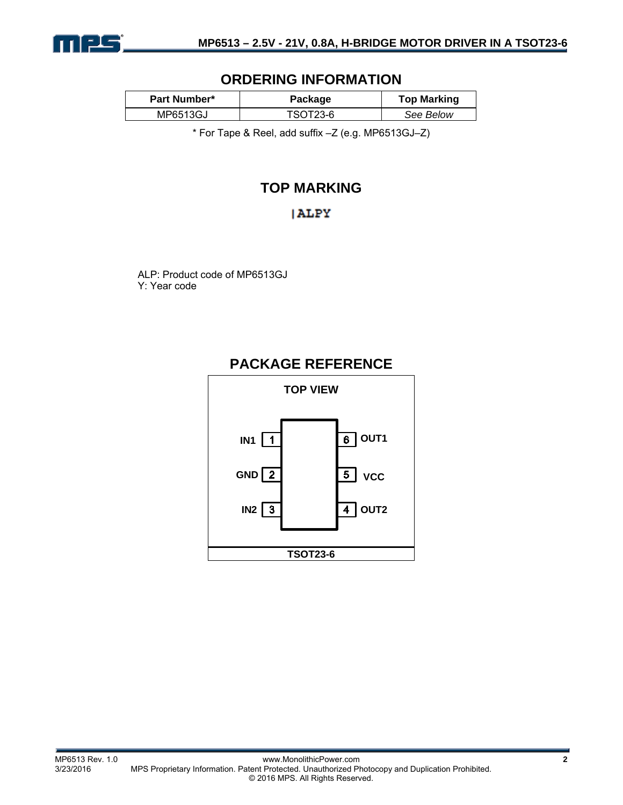

## **ORDERING INFORMATION**

| <b>Part Number*</b> | Package  | <b>Top Marking</b> |
|---------------------|----------|--------------------|
| MP6513GJ            | TSOT23-6 | See Below          |

\* For Tape & Reel, add suffix –Z (e.g. MP6513GJ–Z)

# **TOP MARKING**

### **ALPY**

ALP: Product code of MP6513GJ Y: Year code

## **PACKAGE REFERENCE**

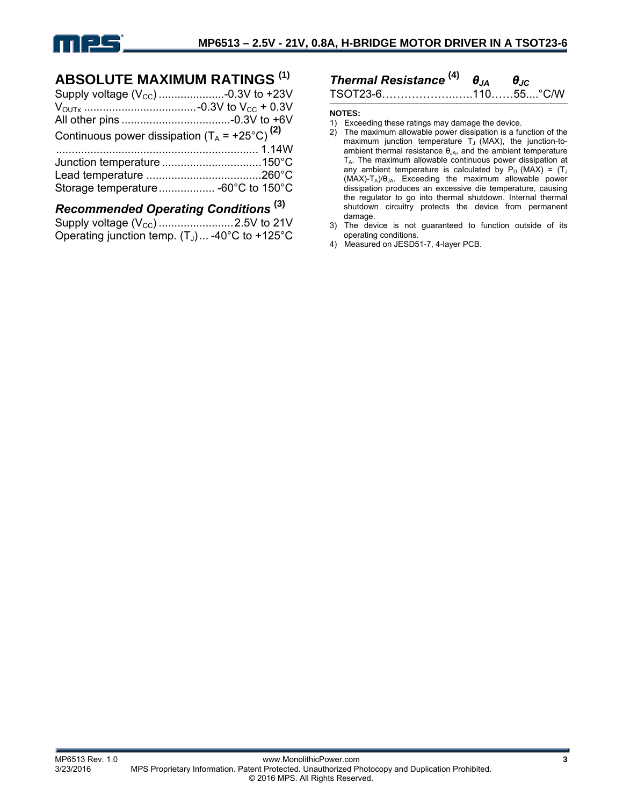

## **ABSOLUTE MAXIMUM RATINGS (1)**

| Continuous power dissipation $(T_A = +25^{\circ}C)^{(2)}$ |  |
|-----------------------------------------------------------|--|
|                                                           |  |
|                                                           |  |
|                                                           |  |
|                                                           |  |
|                                                           |  |

## *Recommended Operating Conditions* **(3)**

| Operating junction temp. $(T_J)$ -40°C to +125°C |  |
|--------------------------------------------------|--|

### *Thermal Resistance* **(4)** *θJA θJC* TSOT23-6………………..…..110……55....°C/W

**NOTES:** 

- 1) Exceeding these ratings may damage the device.
- 2) The maximum allowable power dissipation is a function of the maximum junction temperature  $T_J$  (MAX), the junction-toambient thermal resistance  $\theta_{JA}$ , and the ambient temperature TA. The maximum allowable continuous power dissipation at any ambient temperature is calculated by  $P_D$  (MAX) = (T<sub>J</sub> (MAX)-TA)/θJA. Exceeding the maximum allowable power dissipation produces an excessive die temperature, causing the regulator to go into thermal shutdown. Internal thermal shutdown circuitry protects the device from permanent damage.
- 3) The device is not guaranteed to function outside of its operating conditions.
- 4) Measured on JESD51-7, 4-layer PCB.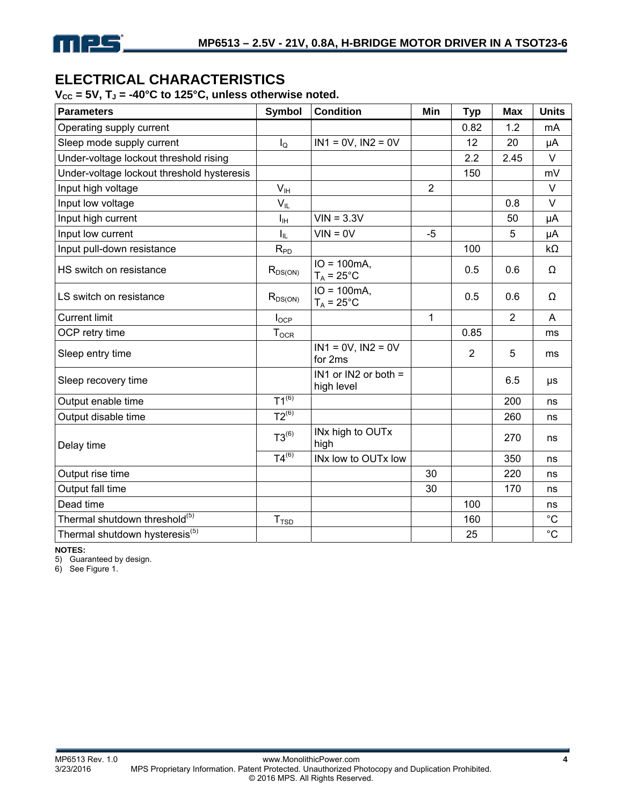# **ELECTRICAL CHARACTERISTICS**

 $V_{\text{CC}}$  = 5V, T<sub>J</sub> = -40°C to 125°C, unless otherwise noted.

| <b>Parameters</b>                          | <b>Symbol</b>    | <b>Condition</b>                       | Min            | <b>Typ</b>     | <b>Max</b>     | <b>Units</b> |
|--------------------------------------------|------------------|----------------------------------------|----------------|----------------|----------------|--------------|
| Operating supply current                   |                  |                                        |                | 0.82           | 1.2            | mA           |
| Sleep mode supply current                  | $I_{\mathsf{Q}}$ | $IN1 = 0V$ , $IN2 = 0V$                |                | 12             | 20             | μA           |
| Under-voltage lockout threshold rising     |                  |                                        |                | 2.2            | 2.45           | $\vee$       |
| Under-voltage lockout threshold hysteresis |                  |                                        |                | 150            |                | mV           |
| Input high voltage                         | V <sub>IH</sub>  |                                        | $\overline{2}$ |                |                | $\vee$       |
| Input low voltage                          | $V_{IL}$         |                                        |                |                | 0.8            | $\vee$       |
| Input high current                         | $I_{\rm IH}$     | $VIN = 3.3V$                           |                |                | 50             | μA           |
| Input low current                          | Iπ               | $VIN = 0V$                             | $-5$           |                | 5              | μA           |
| Input pull-down resistance                 | $R_{PD}$         |                                        |                | 100            |                | $k\Omega$    |
| HS switch on resistance                    | $R_{DS(ON)}$     | $IO = 100mA$ ,<br>$T_A = 25^{\circ}$ C |                | 0.5            | 0.6            | Ω            |
| LS switch on resistance                    | $R_{DS(ON)}$     | $IO = 100mA$<br>$T_A = 25^{\circ}$ C   |                | 0.5            | 0.6            | Ω            |
| <b>Current limit</b>                       | $I_{OCP}$        |                                        | 1              |                | $\overline{2}$ | A            |
| OCP retry time                             | $T_{OCR}$        |                                        |                | 0.85           |                | ms           |
| Sleep entry time                           |                  | $IN1 = 0V$ , $IN2 = 0V$<br>for 2ms     |                | $\overline{2}$ | 5              | ms           |
| Sleep recovery time                        |                  | IN1 or IN2 or both $=$<br>high level   |                |                | 6.5            | μs           |
| Output enable time                         | $T1^{(6)}$       |                                        |                |                | 200            | ns           |
| Output disable time                        | $T2^{(6)}$       |                                        |                |                | 260            | ns           |
| Delay time                                 | $T3^{(6)}$       | INx high to OUTx<br>high               |                |                | 270            | ns           |
|                                            | $T4^{(6)}$       | INx low to OUTx low                    |                |                | 350            | ns           |
| Output rise time                           |                  |                                        | 30             |                | 220            | ns           |
| Output fall time                           |                  |                                        | 30             |                | 170            | ns           |
| Dead time                                  |                  |                                        |                | 100            |                | ns           |
| Thermal shutdown threshold(5)              | $T_{TSD}$        |                                        |                | 160            |                | $^{\circ}C$  |
| Thermal shutdown hysteresis <sup>(5)</sup> |                  |                                        |                | 25             |                | $^{\circ}C$  |

**NOTES:** 

5) Guaranteed by design.

6) See Figure 1.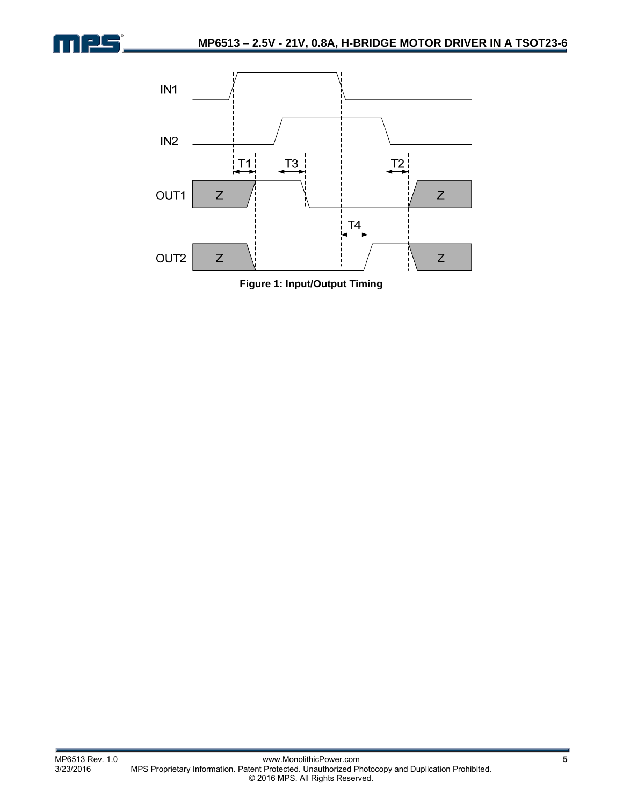

<u>als</u>

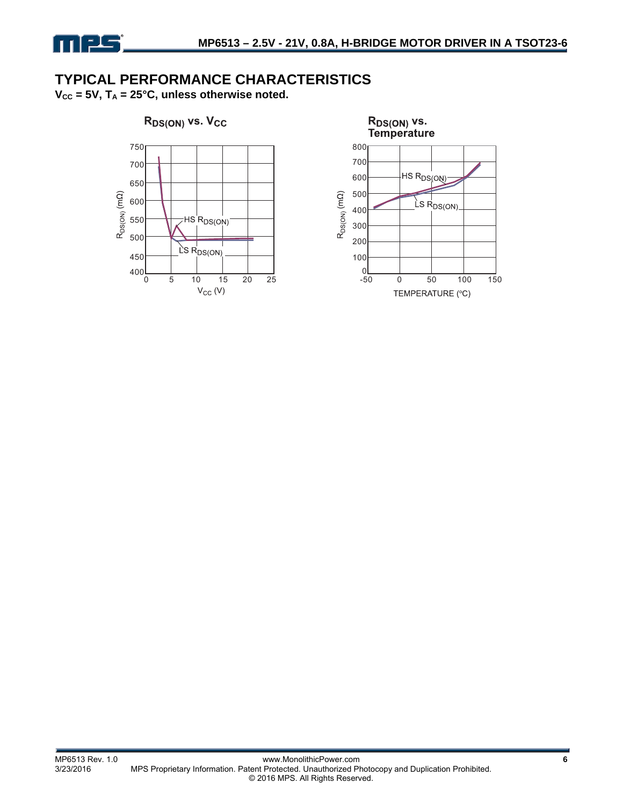

## **TYPICAL PERFORMANCE CHARACTERISTICS**

 $V_{CC}$  = 5V,  $T_A$  = 25°C, unless otherwise noted.



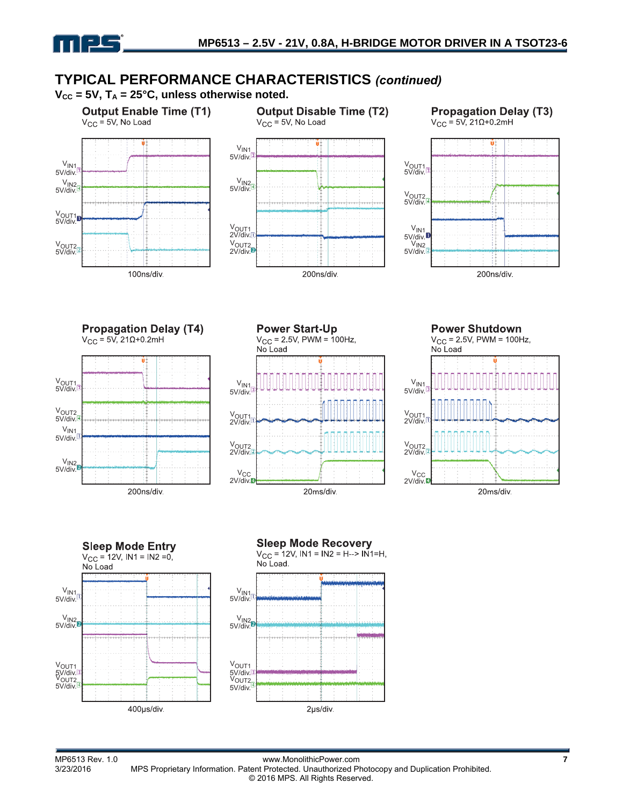

# **TYPICAL PERFORMANCE CHARACTERISTICS** *(continued)*

 $V_{CC}$  = 5V,  $T_A$  = 25°C, unless otherwise noted.



400µs/div.

2µs/div.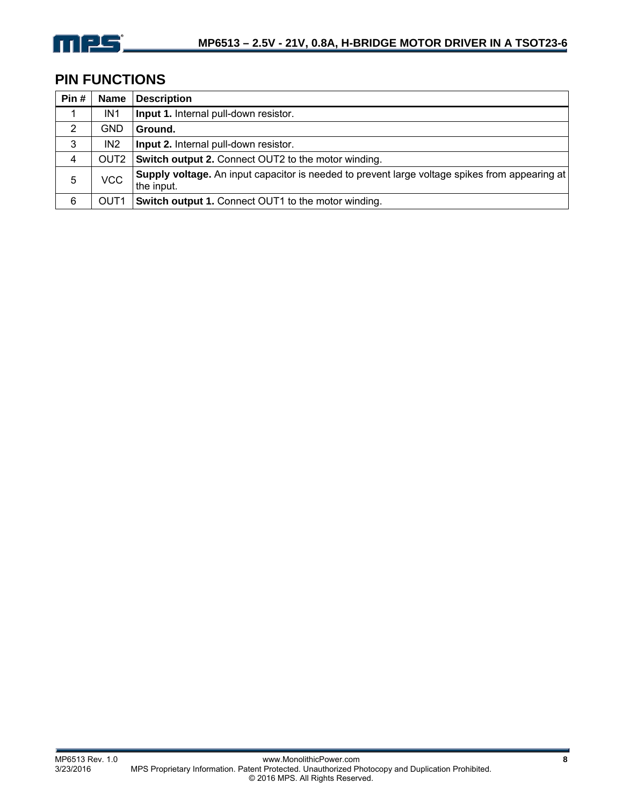

## **PIN FUNCTIONS**

| Pin# | <b>Name</b>      | <b>Description</b>                                                                                           |
|------|------------------|--------------------------------------------------------------------------------------------------------------|
| 1    | IN1              | Input 1. Internal pull-down resistor.                                                                        |
| 2    | <b>GND</b>       | Ground.                                                                                                      |
| 3    | IN <sub>2</sub>  | Input 2. Internal pull-down resistor.                                                                        |
| 4    | OUT <sub>2</sub> | Switch output 2. Connect OUT2 to the motor winding.                                                          |
| 5    | VCC              | Supply voltage. An input capacitor is needed to prevent large voltage spikes from appearing at<br>the input. |
| 6    | OUT <sub>1</sub> | Switch output 1. Connect OUT1 to the motor winding.                                                          |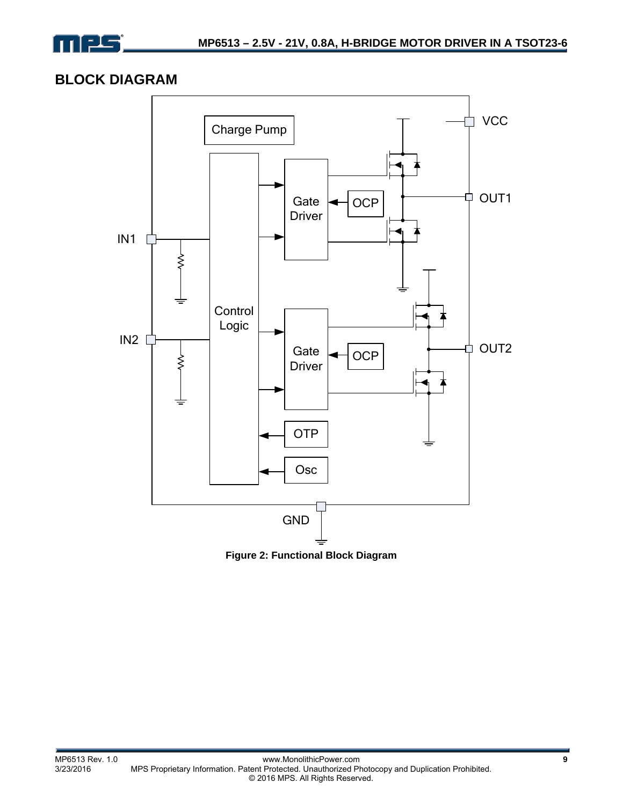

## **BLOCK DIAGRAM**



**Figure 2: Functional Block Diagram**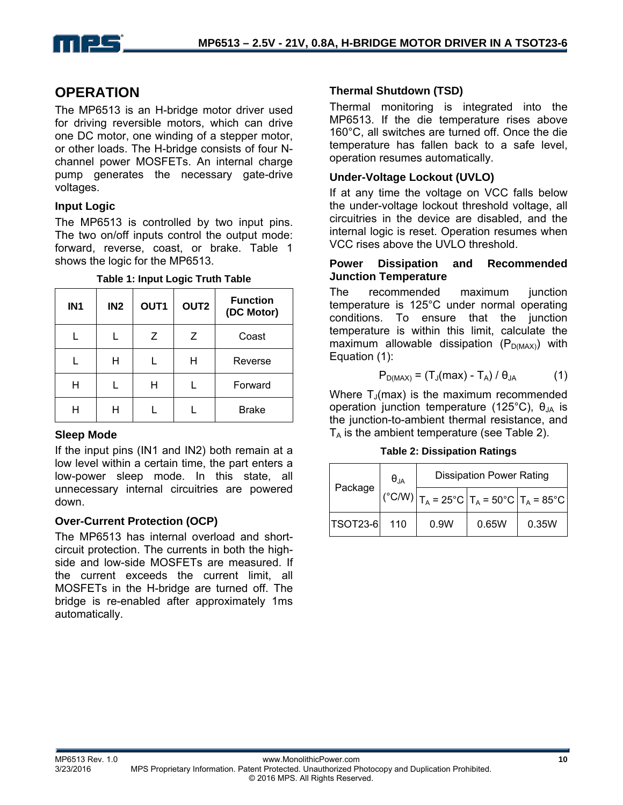

## **OPERATION**

The MP6513 is an H-bridge motor driver used for driving reversible motors, which can drive one DC motor, one winding of a stepper motor, or other loads. The H-bridge consists of four Nchannel power MOSFETs. An internal charge pump generates the necessary gate-drive voltages.

### **Input Logic**

The MP6513 is controlled by two input pins. The two on/off inputs control the output mode: forward, reverse, coast, or brake. Table 1 shows the logic for the MP6513.

| . <b>.</b><br>÷ |                 |                  |                  |                               |  |
|-----------------|-----------------|------------------|------------------|-------------------------------|--|
| IN <sub>1</sub> | IN <sub>2</sub> | OUT <sub>1</sub> | OUT <sub>2</sub> | <b>Function</b><br>(DC Motor) |  |
|                 |                 | Z                | Ζ                | Coast                         |  |
|                 | Н               |                  | н                | Reverse                       |  |
| Н               |                 | н                |                  | Forward                       |  |
| H               | Н               |                  |                  | <b>Brake</b>                  |  |

**Table 1: Input Logic Truth Table** 

### **Sleep Mode**

If the input pins (IN1 and IN2) both remain at a low level within a certain time, the part enters a low-power sleep mode. In this state, all unnecessary internal circuitries are powered down.

### **Over-Current Protection (OCP)**

The MP6513 has internal overload and shortcircuit protection. The currents in both the highside and low-side MOSFETs are measured. If the current exceeds the current limit, all MOSFETs in the H-bridge are turned off. The bridge is re-enabled after approximately 1ms automatically.

### **Thermal Shutdown (TSD)**

Thermal monitoring is integrated into the MP6513. If the die temperature rises above 160°C, all switches are turned off. Once the die temperature has fallen back to a safe level, operation resumes automatically.

### **Under-Voltage Lockout (UVLO)**

If at any time the voltage on VCC falls below the under-voltage lockout threshold voltage, all circuitries in the device are disabled, and the internal logic is reset. Operation resumes when VCC rises above the UVLO threshold.

### **Power Dissipation and Recommended Junction Temperature**

The recommended maximum junction temperature is 125°C under normal operating conditions. To ensure that the junction temperature is within this limit, calculate the maximum allowable dissipation ( $P_{D(MAX)}$ ) with Equation (1):

$$
P_{D(MAX)} = (T_J(max) - T_A) / \theta_{JA}
$$
 (1)

Where  $T_{\text{J}}$ (max) is the maximum recommended operation junction temperature (125<sup>°</sup>C),  $θ_{\text{JA}}$  is the junction-to-ambient thermal resistance, and  $T_A$  is the ambient temperature (see Table 2).

**Table 2: Dissipation Ratings** 

|                 | $\theta_{JA}$ | <b>Dissipation Power Rating</b> |       |                                                                                                     |  |
|-----------------|---------------|---------------------------------|-------|-----------------------------------------------------------------------------------------------------|--|
|                 | Package       |                                 |       | $(^{\circ}C/W)$ $ T_A = 25^{\circ}C$ $ T_A = 50^{\circ}C$ $ T_A = 85^{\circ}C$ $ T_A = 85^{\circ}C$ |  |
| <b>TSOT23-6</b> | 110           | 0.9W                            | 0.65W | 0.35W                                                                                               |  |